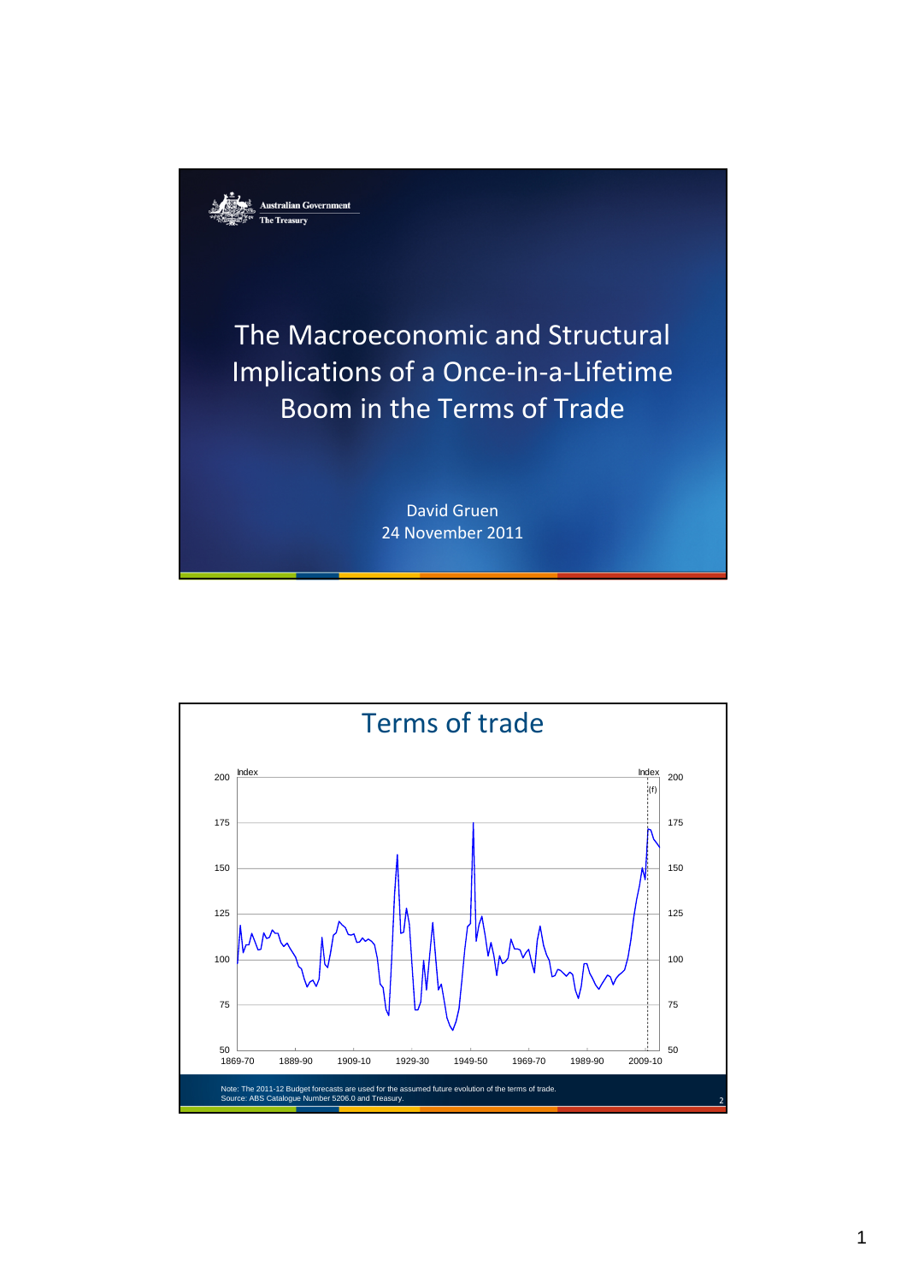

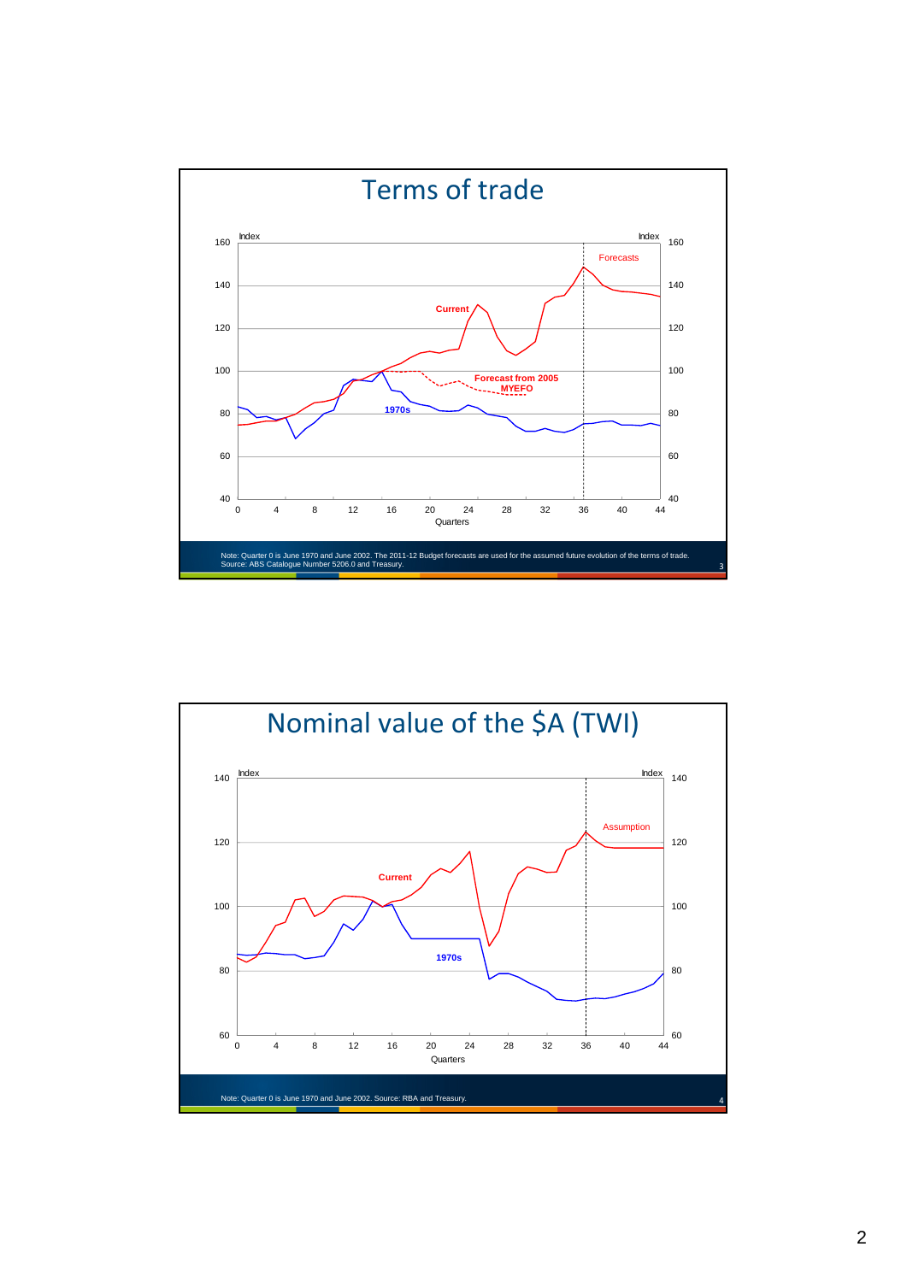

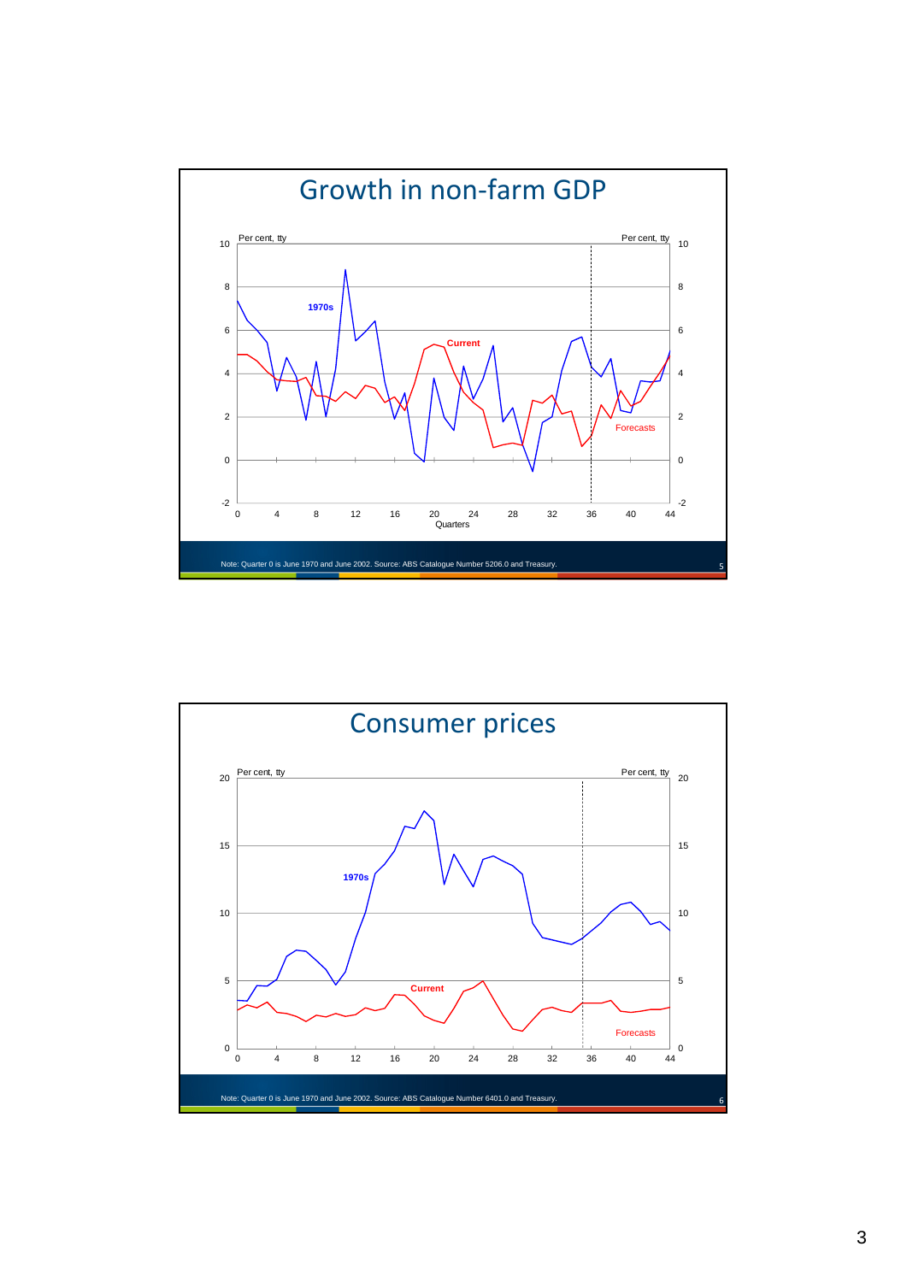

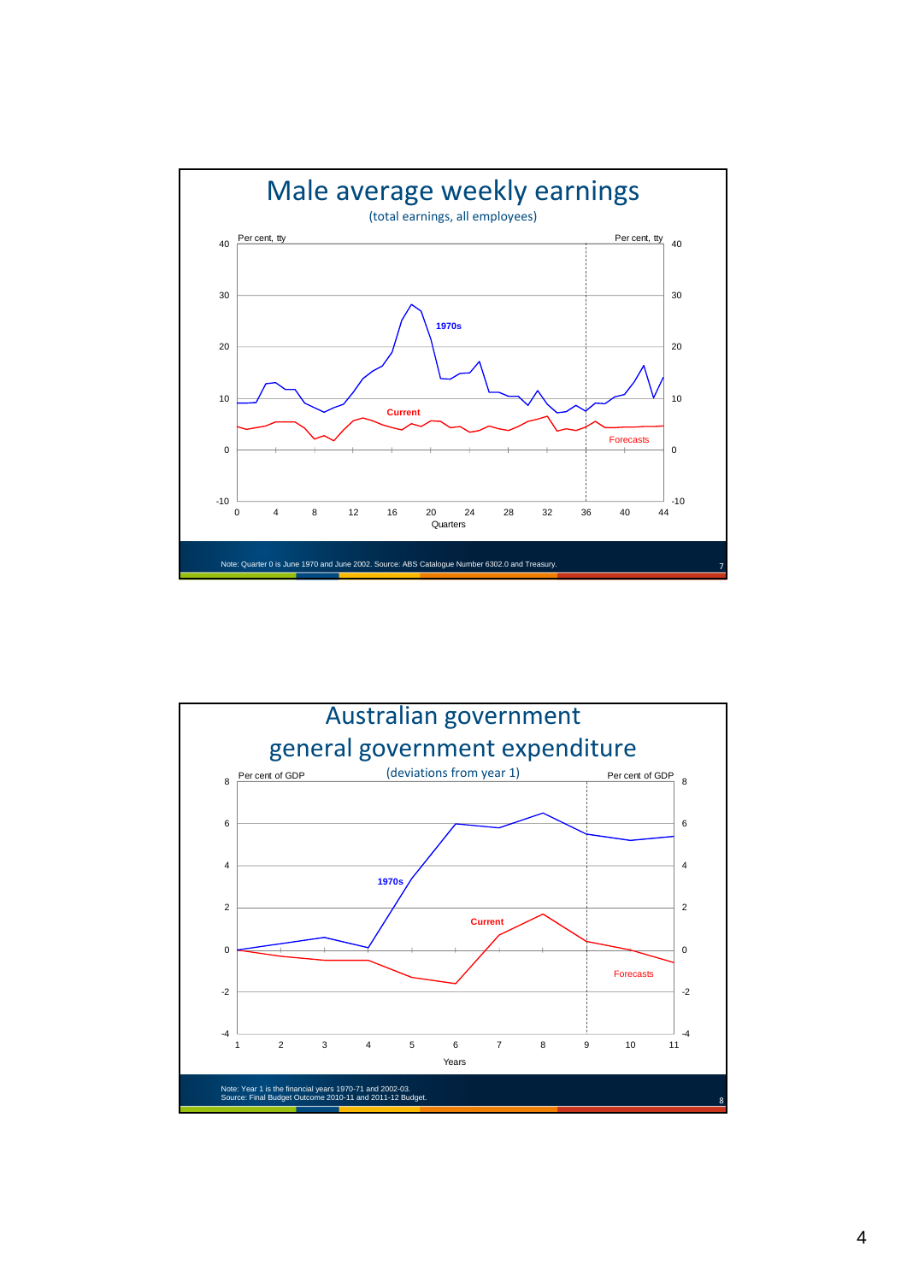

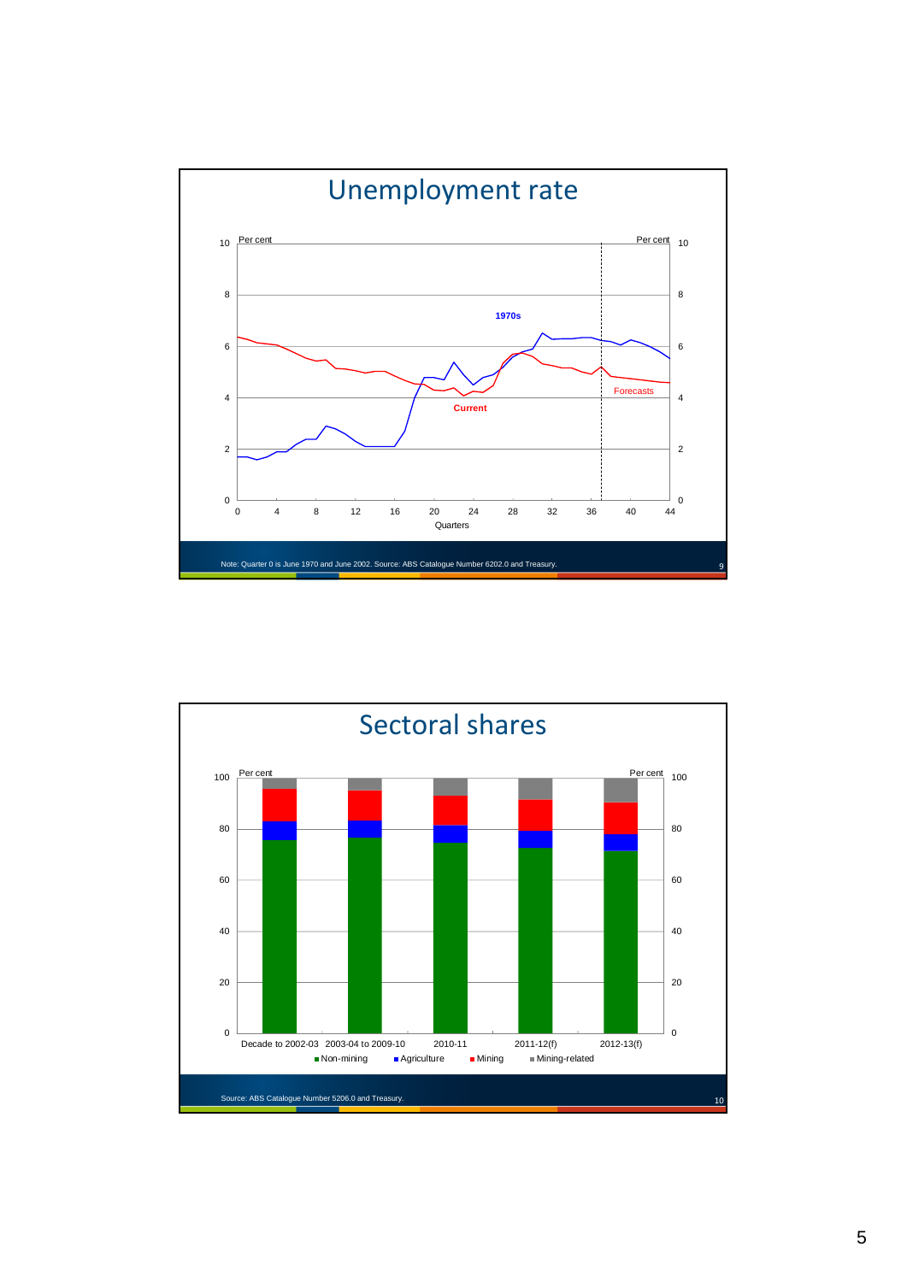

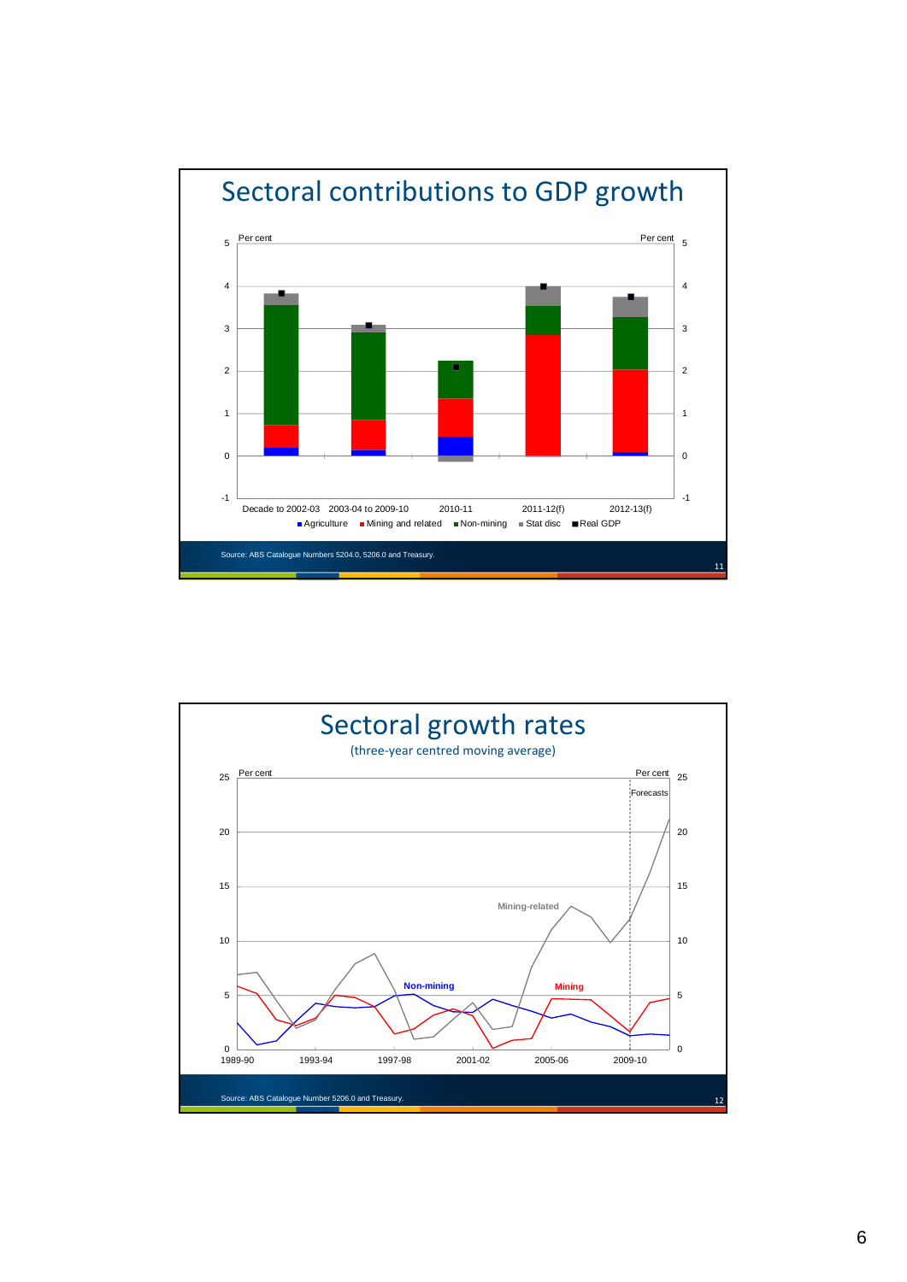

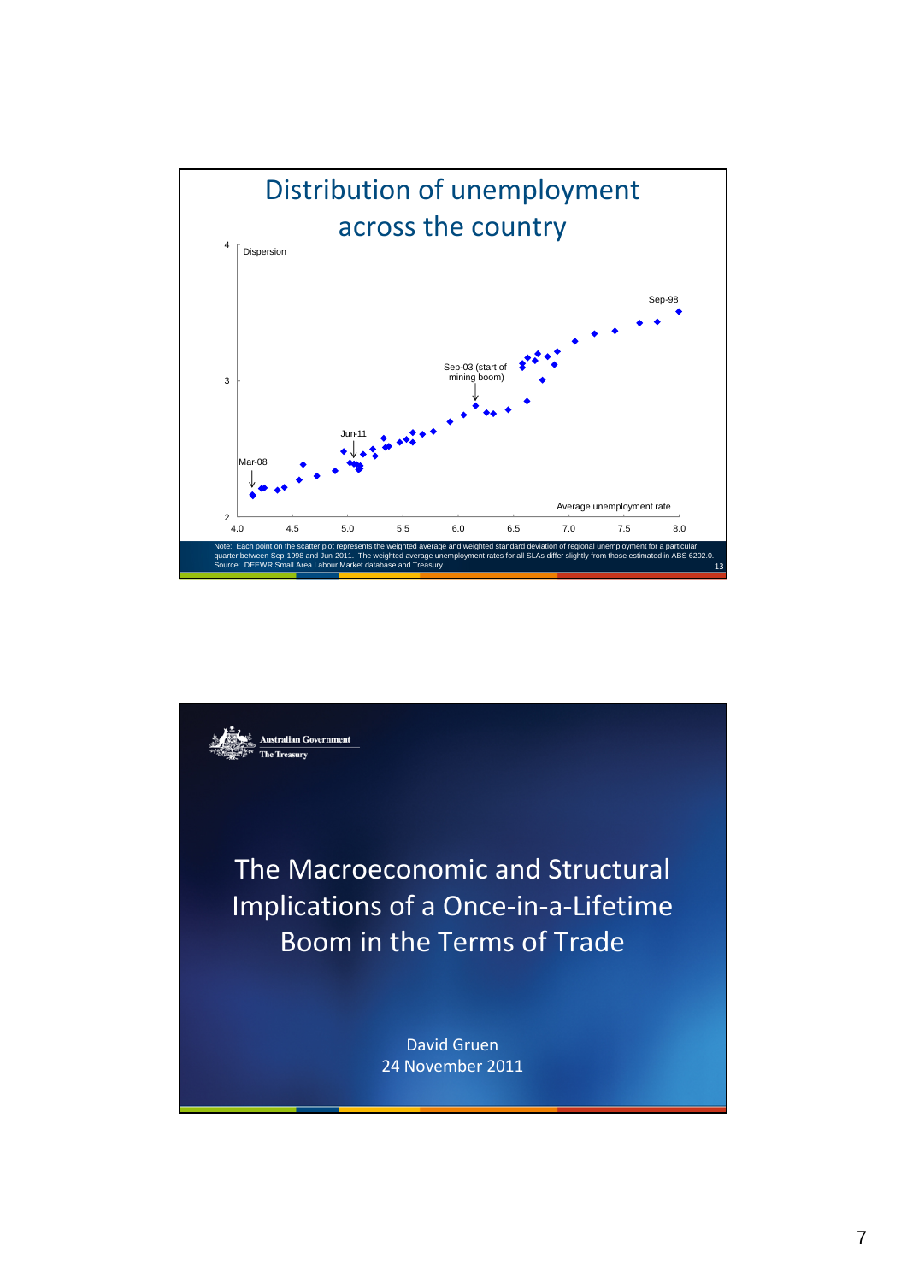

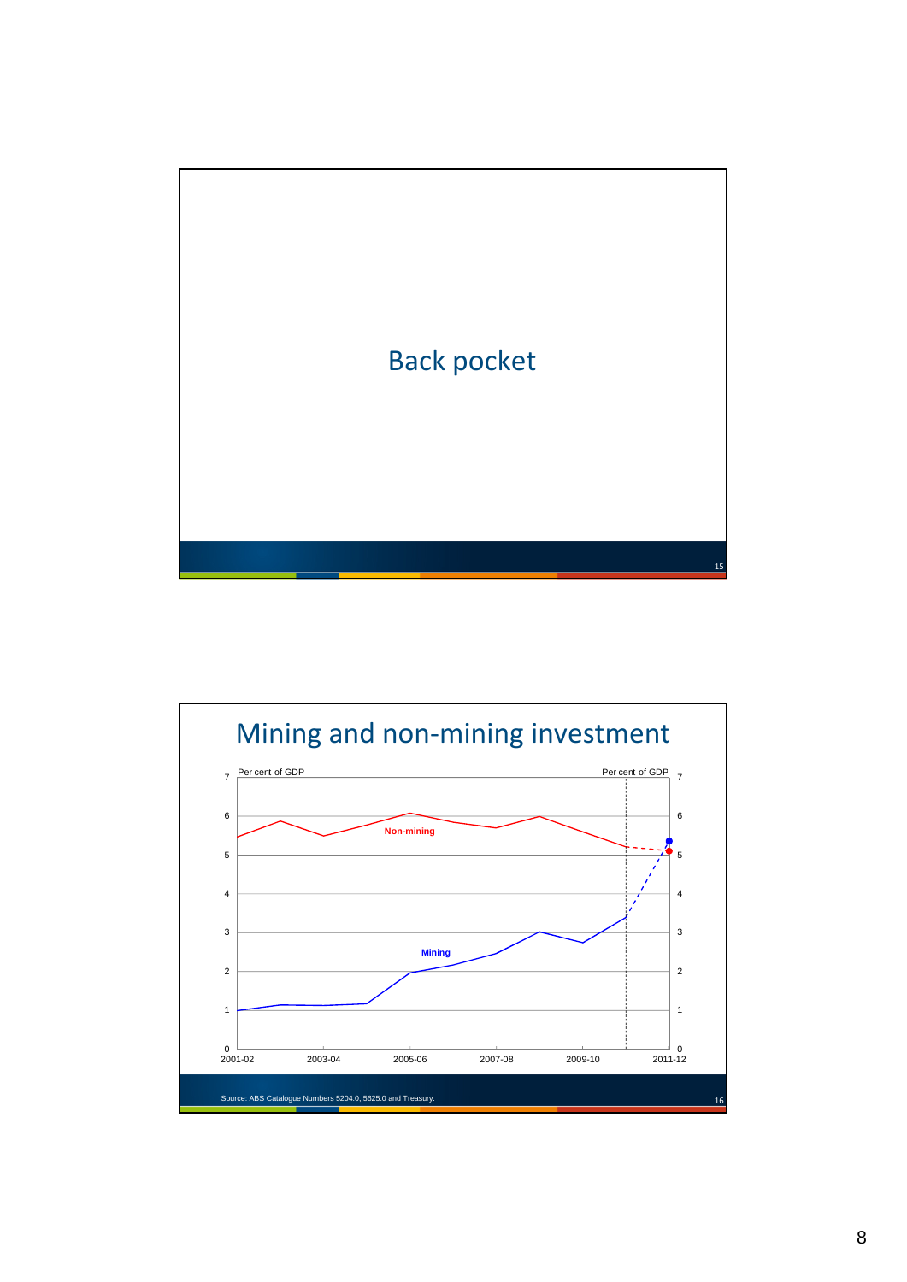